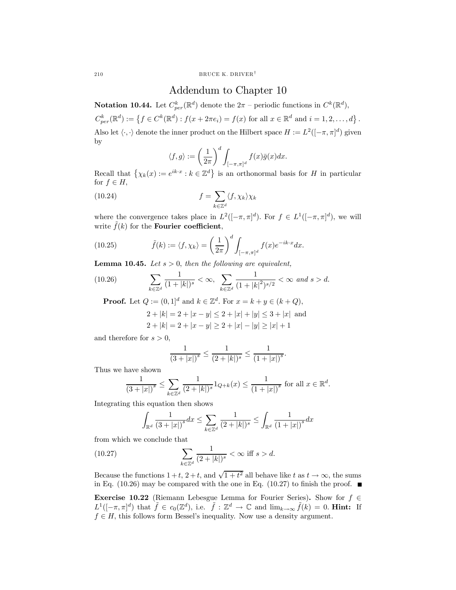210 BRUCE K. DRIVER<sup>†</sup>

## Addendum to Chapter 10

**Notation 10.44.** Let  $C_{per}^k(\mathbb{R}^d)$  denote the  $2\pi$  – periodic functions in  $C^k(\mathbb{R}^d)$ ,

 $C_{per}^k(\mathbb{R}^d) := \{ f \in C^k(\mathbb{R}^d) : f(x + 2\pi e_i) = f(x) \text{ for all } x \in \mathbb{R}^d \text{ and } i = 1, 2, ..., d \}.$ Also let  $\langle \cdot, \cdot \rangle$  denote the inner product on the Hilbert space  $H := L^2([-\pi, \pi]^d)$  given by

$$
\langle f, g \rangle := \left(\frac{1}{2\pi}\right)^d \int_{[-\pi,\pi]^d} f(x)\bar{g}(x) dx.
$$

Recall that  $\{\chi_k(x) := e^{ik \cdot x} : k \in \mathbb{Z}^d\}$  is an orthonormal basis for H in particular for  $f \in H$ ,

(10.24) 
$$
f = \sum_{k \in \mathbb{Z}^d} \langle f, \chi_k \rangle \chi_k
$$

where the convergence takes place in  $L^2([-\pi,\pi]^d)$ . For  $f \in L^1([-\pi,\pi]^d)$ , we will write  $f(k)$  for the **Fourier coefficient**,

(10.25) 
$$
\tilde{f}(k) := \langle f, \chi_k \rangle = \left(\frac{1}{2\pi}\right)^d \int_{[-\pi,\pi]^d} f(x) e^{-ik \cdot x} dx.
$$

**Lemma 10.45.** Let  $s > 0$ , then the following are equivalent,

(10.26) 
$$
\sum_{k \in \mathbb{Z}^d} \frac{1}{(1+|k|)^s} < \infty, \sum_{k \in \mathbb{Z}^d} \frac{1}{(1+|k|^2)^{s/2}} < \infty \text{ and } s > d.
$$

**Proof.** Let  $Q := (0, 1]^d$  and  $k \in \mathbb{Z}^d$ . For  $x = k + y \in (k + Q)$ ,

$$
2 + |k| = 2 + |x - y| \le 2 + |x| + |y| \le 3 + |x|
$$
 and  
 
$$
2 + |k| = 2 + |x - y| \ge 2 + |x| - |y| \ge |x| + 1
$$

and therefore for  $s > 0$ ,

$$
\frac{1}{(3+|x|)^s} \le \frac{1}{(2+|k|)^s} \le \frac{1}{(1+|x|)^s}.
$$

Thus we have shown

$$
\frac{1}{(3+|x|)^s} \le \sum_{k \in \mathbb{Z}^d} \frac{1}{(2+|k|)^s} 1_{Q+k}(x) \le \frac{1}{(1+|x|)^s} \text{ for all } x \in \mathbb{R}^d.
$$

Integrating this equation then shows

$$
\int_{\mathbb{R}^d} \frac{1}{(3+|x|)^s} dx \le \sum_{k \in \mathbb{Z}^d} \frac{1}{(2+|k|)^s} \le \int_{\mathbb{R}^d} \frac{1}{(1+|x|)^s} dx
$$

from which we conclude that

(10.27) 
$$
\sum_{k \in \mathbb{Z}^d} \frac{1}{(2+|k|)^s} < \infty \text{ iff } s > d.
$$

Because the functions  $1+t$ ,  $2+t$ , and  $\sqrt{1+t^2}$  all behave like t as  $t \to \infty$ , the sums in Eq. (10.26) may be compared with the one in Eq. (10.27) to finish the proof.  $\blacksquare$ 

Exercise 10.22 (Riemann Lebesgue Lemma for Fourier Series). Show for  $f \in$  $L^1([-\pi,\pi]^d)$  that  $\tilde{f} \in c_0(\mathbb{Z}^d)$ , i.e.  $\tilde{f} : \mathbb{Z}^d \to \mathbb{C}$  and  $\lim_{k \to \infty} \tilde{f}(k) = 0$ . Hint: If  $f \in H$ , this follows form Bessel's inequality. Now use a density argument.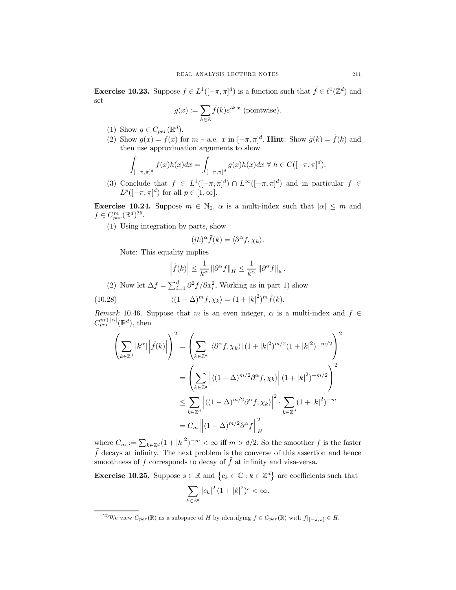**Exercise 10.23.** Suppose  $f \in L^1([-\pi,\pi]^d)$  is a function such that  $\tilde{f} \in \ell^1(\mathbb{Z}^d)$  and set

$$
g(x) := \sum_{k \in \mathbb{Z}} \tilde{f}(k) e^{ik \cdot x}
$$
 (pointwise).

- (1) Show  $g \in C_{per}(\mathbb{R}^d)$ .
- (2) Show  $g(x) = f(x)$  for  $m a.e. x$  in  $[-\pi, \pi]^d$ . **Hint**: Show  $\tilde{g}(k) = \tilde{f}(k)$  and then use approximation arguments to show

$$
\int_{[-\pi,\pi]^d} f(x)h(x)dx = \int_{[-\pi,\pi]^d} g(x)h(x)dx \ \forall \ h \in C([-\pi,\pi]^d).
$$

(3) Conclude that  $f \in L^1([-\pi,\pi]^d) \cap L^\infty([-\pi,\pi]^d)$  and in particular  $f \in$  $L^p([-\pi,\pi]^d)$  for all  $p \in [1,\infty]$ .

**Exercise 10.24.** Suppose  $m \in \mathbb{N}_0$ ,  $\alpha$  is a multi-index such that  $|\alpha| \leq m$  and  $f \in C_{per}^{m}(\mathbb{R}^{d})^{25}.$ 

(1) Using integration by parts, show

$$
(ik)^{\alpha}\tilde{f}(k) = \langle \partial^{\alpha}f, \chi_k \rangle.
$$

Note: This equality implies

$$
\left|\tilde{f}(k)\right| \leq \frac{1}{k^{\alpha}} \left\|\partial^{\alpha} f\right\|_{H} \leq \frac{1}{k^{\alpha}} \left\|\partial^{\alpha} f\right\|_{u}.
$$

(2) Now let  $\Delta f = \sum_{i=1}^d \partial^2 f / \partial x_i^2$ , Working as in part 1) show

(10.28) 
$$
\langle (1 - \Delta)^m f, \chi_k \rangle = (1 + |k|^2)^m \tilde{f}(k).
$$

Remark 10.46. Suppose that m is an even integer,  $\alpha$  is a multi-index and  $f \in$  $C_{per}^{m+|\alpha|}(\mathbb{R}^d)$ , then

$$
\left(\sum_{k\in\mathbb{Z}^d} |k^{\alpha}| \left| \tilde{f}(k) \right| \right)^2 = \left(\sum_{k\in\mathbb{Z}^d} |\langle \partial^{\alpha} f, \chi_k \rangle| (1+|k|^2)^{m/2} (1+|k|^2)^{-m/2} \right)^2
$$

$$
= \left(\sum_{k\in\mathbb{Z}^d} \left| \langle (1-\Delta)^{m/2} \partial^{\alpha} f, \chi_k \rangle \right| (1+|k|^2)^{-m/2} \right)^2
$$

$$
\leq \sum_{k\in\mathbb{Z}^d} \left| \langle (1-\Delta)^{m/2} \partial^{\alpha} f, \chi_k \rangle \right|^2 \cdot \sum_{k\in\mathbb{Z}^d} (1+|k|^2)^{-m}
$$

$$
= C_m \left\| (1-\Delta)^{m/2} \partial^{\alpha} f \right\|_H^2
$$

where  $C_m := \sum_{k \in \mathbb{Z}^d} (1 + |k|^2)^{-m} < \infty$  iff  $m > d/2$ . So the smoother f is the faster  $\hat{f}$  decays at infinity. The next problem is the converse of this assertion and hence smoothness of  $f$  corresponds to decay of  $f$  at infinity and visa-versa.

**Exercise 10.25.** Suppose  $s \in \mathbb{R}$  and  $\{c_k \in \mathbb{C} : k \in \mathbb{Z}^d\}$  are coefficients such that

$$
\sum_{k\in\mathbb{Z}^d} |c_k|^2 (1+|k|^2)^s < \infty.
$$

<sup>&</sup>lt;sup>25</sup>We view  $C_{per}(\mathbb{R})$  as a subspace of H by identifying  $f \in C_{per}(\mathbb{R})$  with  $f|_{[-\pi,\pi]} \in H$ .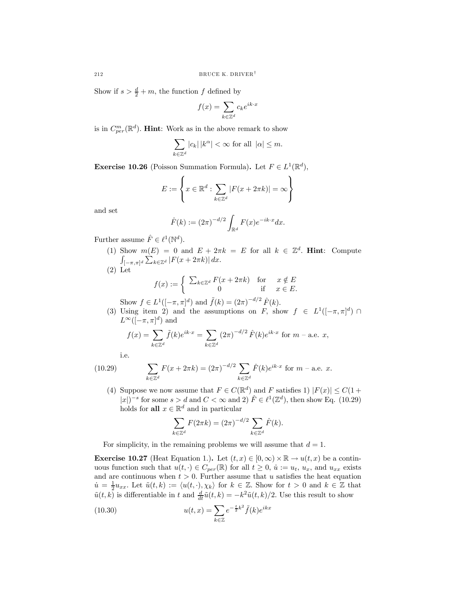Show if  $s > \frac{d}{2} + m$ , the function f defined by

$$
f(x) = \sum_{k \in \mathbb{Z}^d} c_k e^{ik \cdot x}
$$

is in  $C_{per}^{m}(\mathbb{R}^{d})$ . **Hint**: Work as in the above remark to show

$$
\sum_{k\in\mathbb{Z}^d} |c_k|\,|k^\alpha| < \infty \text{ for all } |\alpha| \le m.
$$

**Exercise 10.26** (Poisson Summation Formula). Let  $F \in L^1(\mathbb{R}^d)$ ,

$$
E := \left\{ x \in \mathbb{R}^d : \sum_{k \in \mathbb{Z}^d} |F(x + 2\pi k)| = \infty \right\}
$$

and set

$$
\hat{F}(k) := (2\pi)^{-d/2} \int_{\mathbb{R}^d} F(x) e^{-ik \cdot x} dx.
$$

Further assume  $\hat{F} \in \ell^1(\mathbb{N}^d)$ .

- (1) Show  $m(E)=0$  and  $E + 2\pi k = E$  for all  $k \in \mathbb{Z}^d$ . **Hint**: Compute  $\int_{[-\pi,\pi]^d} \sum_{k\in\mathbb{Z}^d} |F(x+2\pi k)| dx.$
- (2) Let

$$
f(x) := \begin{cases} \sum_{k \in \mathbb{Z}^d} F(x + 2\pi k) & \text{for } x \notin E \\ 0 & \text{if } x \in E. \end{cases}
$$

Show  $f \in L^1([-\pi,\pi]^d)$  and  $\tilde{f}(k) = (2\pi)^{-d/2} \tilde{F}(k)$ .

(3) Using item 2) and the assumptions on F, show  $f \in L^1([-\pi,\pi]^d) \cap$  $L^{\infty}([-\pi,\pi]^d)$  and

$$
f(x) = \sum_{k \in \mathbb{Z}^d} \tilde{f}(k) e^{ik \cdot x} = \sum_{k \in \mathbb{Z}^d} (2\pi)^{-d/2} \tilde{F}(k) e^{ik \cdot x} \text{ for } m \text{ - a.e. } x,
$$

i.e.

(10.29) 
$$
\sum_{k \in \mathbb{Z}^d} F(x + 2\pi k) = (2\pi)^{-d/2} \sum_{k \in \mathbb{Z}^d} \hat{F}(k) e^{ik \cdot x} \text{ for } m \text{ - a.e. } x.
$$

(4) Suppose we now assume that  $F \in C(\mathbb{R}^d)$  and F satisfies 1)  $|F(x)| \leq C(1+\epsilon)$  $|x|^{-s}$  for some  $s>d$  and  $C < \infty$  and 2)  $\hat{F} \in \ell^1(\mathbb{Z}^d)$ , then show Eq. (10.29) holds for all  $x \in \mathbb{R}^d$  and in particular

$$
\sum_{k \in \mathbb{Z}^d} F(2\pi k) = (2\pi)^{-d/2} \sum_{k \in \mathbb{Z}^d} \hat{F}(k).
$$

For simplicity, in the remaining problems we will assume that  $d = 1$ .

**Exercise 10.27** (Heat Equation 1.). Let  $(t, x) \in [0, \infty) \times \mathbb{R} \to u(t, x)$  be a continuous function such that  $u(t, \cdot) \in C_{per}(\mathbb{R})$  for all  $t \geq 0$ ,  $u := u_t$ ,  $u_x$ , and  $u_{xx}$  exists and are continuous when  $t > 0$ . Further assume that u satisfies the heat equation  $\dot{u} = \frac{1}{2} u_{xx}$ . Let  $\tilde{u}(t, k) := \langle u(t, \cdot), \chi_k \rangle$  for  $k \in \mathbb{Z}$ . Show for  $t > 0$  and  $k \in \mathbb{Z}$  that  $\tilde{u}(t, k)$  is differentiable in t and  $\frac{d}{dt}\tilde{u}(t, k) = -k^2\tilde{u}(t, k)/2$ . Use this result to show

(10.30) 
$$
u(t,x) = \sum_{k \in \mathbb{Z}} e^{-\frac{t}{2}k^2} \tilde{f}(k) e^{ikx}
$$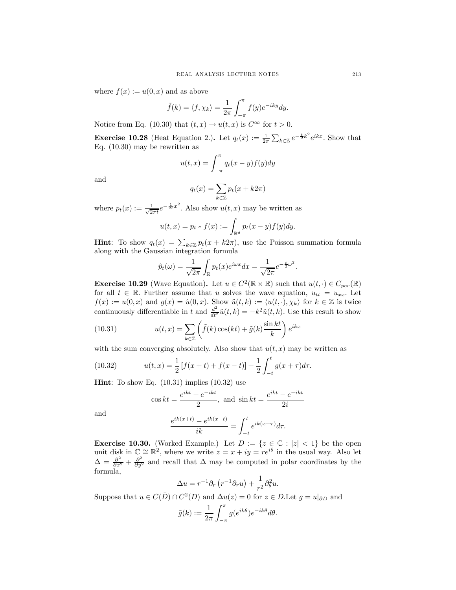where  $f(x) := u(0, x)$  and as above

$$
\tilde{f}(k) = \langle f, \chi_k \rangle = \frac{1}{2\pi} \int_{-\pi}^{\pi} f(y) e^{-iky} dy.
$$

Notice from Eq. (10.30) that  $(t, x) \rightarrow u(t, x)$  is  $C^{\infty}$  for  $t > 0$ .

**Exercise 10.28** (Heat Equation 2.). Let  $q_t(x) := \frac{1}{2\pi} \sum_{k \in \mathbb{Z}} e^{-\frac{t}{2}k^2} e^{ikx}$ . Show that Eq. (10.30) may be rewritten as

$$
u(t,x) = \int_{-\pi}^{\pi} q_t(x-y)f(y)dy
$$

and

$$
q_t(x) = \sum_{k \in \mathbb{Z}} p_t(x + k2\pi)
$$

where  $p_t(x) := \frac{1}{\sqrt{2}}$  $\frac{1}{2\pi t}e^{-\frac{1}{2t}x^2}$ . Also show  $u(t, x)$  may be written as

$$
u(t,x) = p_t * f(x) := \int_{\mathbb{R}^d} p_t(x - y) f(y) dy.
$$

**Hint:** To show  $q_t(x) = \sum_{k \in \mathbb{Z}} p_t(x + k2\pi)$ , use the Poisson summation formula along with the Gaussian integration formula

$$
\hat{p}_t(\omega) = \frac{1}{\sqrt{2\pi}} \int_{\mathbb{R}} p_t(x) e^{i\omega x} dx = \frac{1}{\sqrt{2\pi}} e^{-\frac{t}{2}\omega^2}.
$$

**Exercise 10.29** (Wave Equation). Let  $u \in C^2(\mathbb{R} \times \mathbb{R})$  such that  $u(t, \cdot) \in C_{per}(\mathbb{R})$ for all  $t \in \mathbb{R}$ . Further assume that u solves the wave equation,  $u_{tt} = u_{xx}$ . Let  $f(x) := u(0, x)$  and  $g(x) = \dot{u}(0, x)$ . Show  $\tilde{u}(t, k) := \langle u(t, \cdot), \chi_k \rangle$  for  $k \in \mathbb{Z}$  is twice continuously differentiable in t and  $\frac{d^2}{dt^2}\tilde{u}(t,k) = -k^2\tilde{u}(t,k)$ . Use this result to show

(10.31) 
$$
u(t,x) = \sum_{k \in \mathbb{Z}} \left( \tilde{f}(k) \cos(kt) + \tilde{g}(k) \frac{\sin kt}{k} \right) e^{ikx}
$$

with the sum converging absolutely. Also show that  $u(t, x)$  may be written as

(10.32) 
$$
u(t,x) = \frac{1}{2} [f(x+t) + f(x-t)] + \frac{1}{2} \int_{-t}^{t} g(x+\tau) d\tau.
$$

**Hint**: To show Eq.  $(10.31)$  implies  $(10.32)$  use

$$
\cos kt = \frac{e^{ikt} + e^{-ikt}}{2}, \text{ and } \sin kt = \frac{e^{ikt} - e^{-ikt}}{2i}
$$

and

$$
\frac{e^{ik(x+t)} - e^{ik(x-t)}}{ik} = \int_{-t}^t e^{ik(x+\tau)} d\tau.
$$

**Exercise 10.30.** (Worked Example.) Let  $D := \{z \in \mathbb{C} : |z| < 1\}$  be the open unit disk in  $\mathbb{C} \cong \mathbb{R}^2$ , where we write  $z = x + iy = re^{i\theta}$  in the usual way. Also let  $\Delta = \frac{\partial^2}{\partial x^2} + \frac{\partial^2}{\partial y^2}$  and recall that  $\Delta$  may be computed in polar coordinates by the formula,

$$
\Delta u = r^{-1} \partial_r \left( r^{-1} \partial_r u \right) + \frac{1}{r^2} \partial_\theta^2 u.
$$

Suppose that  $u \in C(\overline{D}) \cap C^2(D)$  and  $\Delta u(z) = 0$  for  $z \in D$ . Let  $g = u|_{\partial D}$  and

$$
\tilde{g}(k) := \frac{1}{2\pi} \int_{-\pi}^{\pi} g(e^{ik\theta}) e^{-ik\theta} d\theta.
$$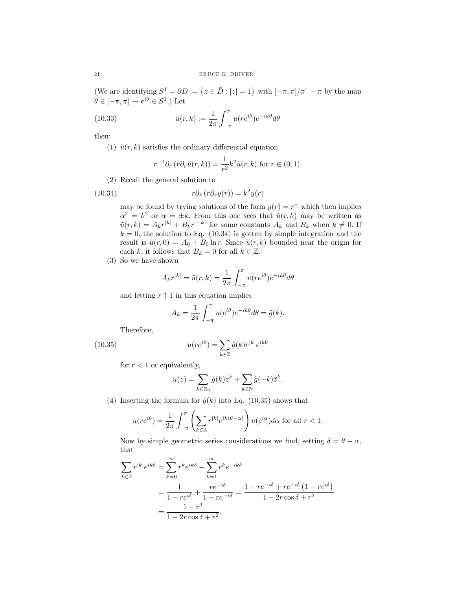(We are identifying  $S^1 = \partial D := \{z \in \overline{D} : |z| = 1\}$  with  $[-\pi, \pi]/\pi^* - \pi$  by the map  $\theta \in [-\pi, \pi] \to e^{i\theta} \in S^1$ .) Let

(10.33) 
$$
\tilde{u}(r,k) := \frac{1}{2\pi} \int_{-\pi}^{\pi} u(re^{i\theta}) e^{-ik\theta} d\theta
$$

then:

(1)  $\tilde{u}(r, k)$  satisfies the ordinary differential equation

$$
r^{-1}\partial_r\left(r\partial_r\tilde{u}(r,k)\right) = \frac{1}{r^2}k^2\tilde{u}(r,k)
$$
 for  $r \in (0,1)$ .

(2) Recall the general solution to

(10.34) 
$$
r\partial_r (r\partial_r y(r)) = k^2 y(r)
$$

may be found by trying solutions of the form  $y(r) = r^{\alpha}$  which then implies  $\alpha^2 = k^2$  or  $\alpha = \pm k$ . From this one sees that  $\tilde{u}(r, k)$  may be written as  $\tilde{u}(r, k) = A_k r^{|k|} + B_k r^{-|k|}$  for some constants  $A_k$  and  $B_k$  when  $k \neq 0$ . If  $k = 0$ , the solution to Eq. (10.34) is gotten by simple integration and the result is  $\tilde{u}(r, 0) = A_0 + B_0 \ln r$ . Since  $\tilde{u}(r, k)$  bounded near the origin for each k, it follows that  $B_k = 0$  for all  $k \in \mathbb{Z}$ .

(3) So we have shown

$$
A_k r^{|k|} = \tilde{u}(r,k) = \frac{1}{2\pi} \int_{-\pi}^{\pi} u(re^{i\theta}) e^{-ik\theta} d\theta
$$

and letting  $r \uparrow 1$  in this equation implies

$$
A_k = \frac{1}{2\pi} \int_{-\pi}^{\pi} u(e^{i\theta}) e^{-ik\theta} d\theta = \tilde{g}(k).
$$

Therefore,

 $(10.35)$   $u(r)$ 

$$
(re^{i\theta}) = \sum_{k \in \mathbb{Z}} \tilde{g}(k)r^{|k|}e^{ik\theta}
$$

for  $r < 1$  or equivalently,

$$
u(z) = \sum_{k \in \mathbb{N}_0} \tilde{g}(k) z^k + \sum_{k \in \mathbb{N}} \tilde{g}(-k) \tilde{z}^k.
$$

(4) Inserting the formula for  $\tilde{g}(k)$  into Eq. (10.35) shows that

$$
u(re^{i\theta}) = \frac{1}{2\pi} \int_{-\pi}^{\pi} \left( \sum_{k \in \mathbb{Z}} r^{|k|} e^{ik(\theta - \alpha)} \right) u(e^{i\alpha}) d\alpha
$$
 for all  $r < 1$ .

Now by simple geometric series considerations we find, setting  $\delta = \theta - \alpha$ , that

$$
\sum_{k \in \mathbb{Z}} r^{|k|} e^{ik\delta} = \sum_{k=0}^{\infty} r^k e^{ik\delta} + \sum_{k=1}^{\infty} r^k e^{-ik\delta}
$$

$$
= \frac{1}{1 - re^{i\delta}} + \frac{re^{-i\delta}}{1 - re^{-i\delta}} = \frac{1 - re^{-i\delta} + re^{-i\delta} (1 - re^{i\delta})}{1 - 2r \cos \delta + r^2}
$$

$$
= \frac{1 - r^2}{1 - 2r \cos \delta + r^2}.
$$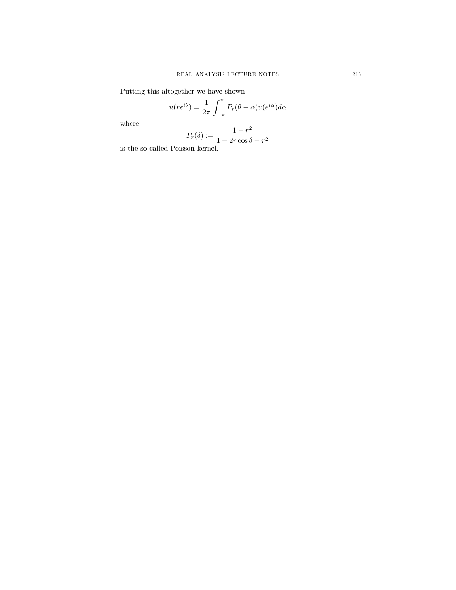Putting this altogether we have shown

$$
u(re^{i\theta}) = \frac{1}{2\pi} \int_{-\pi}^{\pi} P_r(\theta - \alpha) u(e^{i\alpha}) d\alpha
$$

where

$$
P_r(\delta) := \frac{1 - r^2}{1 - 2r\cos\delta + r^2}
$$

is the so called Poisson kernel.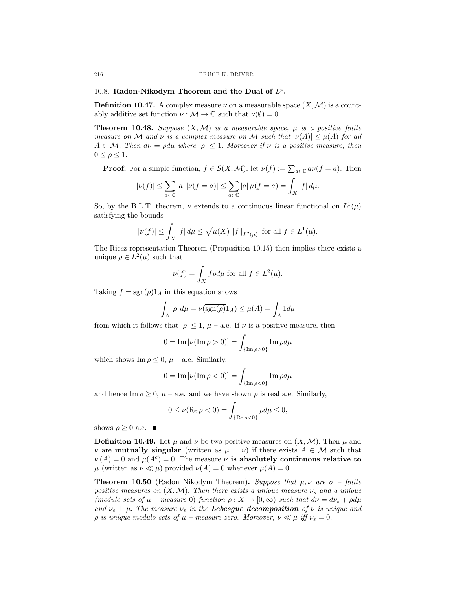## 10.8. Radon-Nikodym Theorem and the Dual of  $L^p$ .

**Definition 10.47.** A complex measure  $\nu$  on a measurable space  $(X, \mathcal{M})$  is a countably additive set function  $\nu : \mathcal{M} \to \mathbb{C}$  such that  $\nu(\emptyset) = 0$ .

**Theorem 10.48.** Suppose  $(X, \mathcal{M})$  is a measurable space,  $\mu$  is a positive finite measure on M and v is a complex measure on M such that  $|\nu(A)| \leq \mu(A)$  for all  $A \in \mathcal{M}$ . Then  $d\nu = \rho d\mu$  where  $|\rho| \leq 1$ . Moreover if  $\nu$  is a positive measure, then  $0 \leq \rho \leq 1$ .

**Proof.** For a simple function,  $f \in \mathcal{S}(X, \mathcal{M})$ , let  $\nu(f) := \sum_{a \in \mathbb{C}} a\nu(f = a)$ . Then

$$
|\nu(f)| \le \sum_{a \in \mathbb{C}} |a| |\nu(f = a)| \le \sum_{a \in \mathbb{C}} |a| \mu(f = a) = \int_X |f| \, d\mu.
$$

So, by the B.L.T. theorem,  $\nu$  extends to a continuous linear functional on  $L^1(\mu)$ satisfying the bounds

$$
|\nu(f)| \le \int_X |f| \, d\mu \le \sqrt{\mu(X)} \, \|f\|_{L^2(\mu)} \text{ for all } f \in L^1(\mu).
$$

The Riesz representation Theorem (Proposition 10.15) then implies there exists a unique  $\rho \in L^2(\mu)$  such that

$$
\nu(f) = \int_X f \rho d\mu \text{ for all } f \in L^2(\mu).
$$

Taking  $f = \overline{\text{sgn}(\rho)} 1_A$  in this equation shows

$$
\int_A |\rho| d\mu = \nu(\overline{\text{sgn}(\rho)} 1_A) \le \mu(A) = \int_A 1 d\mu
$$

from which it follows that  $|\rho| \leq 1$ ,  $\mu$  – a.e. If  $\nu$  is a positive measure, then

$$
0 = \mathrm{Im}\left[\nu(\mathrm{Im}\,\rho > 0)\right] = \int_{\{\mathrm{Im}\,\rho > 0\}} \mathrm{Im}\,\rho d\mu
$$

which shows  $\text{Im } \rho \leq 0$ ,  $\mu$  – a.e. Similarly,

$$
0 = \mathrm{Im}\left[\nu(\mathrm{Im}\,\rho < 0)\right] = \int_{\{\mathrm{Im}\,\rho < 0\}} \mathrm{Im}\,\rho d\mu
$$

and hence  $\text{Im } \rho \geq 0$ ,  $\mu$  – a.e. and we have shown  $\rho$  is real a.e. Similarly,

$$
0 \le \nu(\operatorname{Re} \rho < 0) = \int_{\{\operatorname{Re} \rho < 0\}} \rho d\mu \le 0,
$$

shows  $\rho \geq 0$  a.e.  $\blacksquare$ 

**Definition 10.49.** Let  $\mu$  and  $\nu$  be two positive measures on  $(X, \mathcal{M})$ . Then  $\mu$  and v are **mutually singular** (written as  $\mu \perp \nu$ ) if there exists  $A \in \mathcal{M}$  such that  $\nu(A)=0$  and  $\mu(A^c)=0$ . The measure  $\nu$  is absolutely continuous relative to  $\mu$  (written as  $\nu \ll \mu$ ) provided  $\nu(A)=0$  whenever  $\mu(A)=0$ .

**Theorem 10.50** (Radon Nikodym Theorem). Suppose that  $\mu, \nu$  are  $\sigma$  – finite positive measures on  $(X, \mathcal{M})$ . Then there exists a unique measure  $\nu_s$  and a unique (modulo sets of  $\mu$  – measure 0) function  $\rho: X \to [0, \infty)$  such that  $d\nu = d\nu_s + \rho d\mu$ and  $\nu_s \perp \mu$ . The measure  $\nu_s$  in the **Lebesgue decomposition** of  $\nu$  is unique and  $ρ$  is unique modulo sets of  $μ$  – measure zero. Moreover,  $ν \ll μ$  iff  $ν_s = 0$ .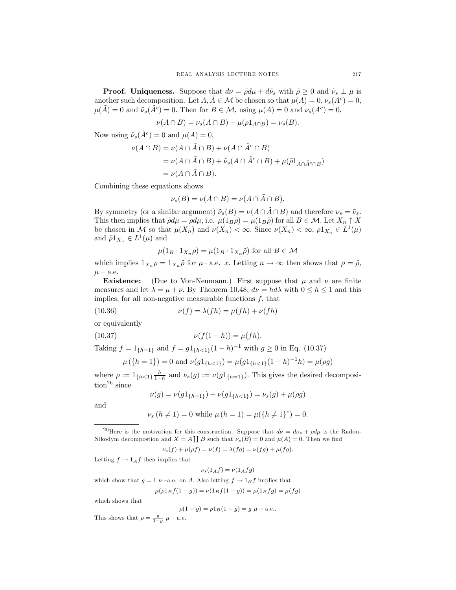**Proof.** Uniqueness. Suppose that  $d\nu = \tilde{\rho} d\mu + d\tilde{\nu}_s$  with  $\tilde{\rho} \geq 0$  and  $\tilde{\nu}_s \perp \mu$  is another such decomposition. Let  $A, \overline{A} \in \mathcal{M}$  be chosen so that  $\mu(A) = 0, \nu_s(A^c) = 0$ ,  $\mu(\tilde{A})=0$  and  $\tilde{\nu}_s(\tilde{A}^c)=0$ . Then for  $B \in \mathcal{M}$ , using  $\mu(A)=0$  and  $\nu_s(A^c)=0$ ,

$$
\nu(A \cap B) = \nu_s(A \cap B) + \mu(\rho 1_{A \cap B}) = \nu_s(B).
$$

Now using  $\tilde{\nu}_s(\tilde{A}^c)=0$  and  $\mu(A)=0$ ,

$$
\nu(A \cap B) = \nu(A \cap \tilde{A} \cap B) + \nu(A \cap \tilde{A}^c \cap B)
$$
  
=  $\nu(A \cap \tilde{A} \cap B) + \tilde{\nu}_s(A \cap \tilde{A}^c \cap B) + \mu(\tilde{\rho}1_{A \cap \tilde{A}^c \cap B})$   
=  $\nu(A \cap \tilde{A} \cap B).$ 

Combining these equations shows

$$
\nu_s(B) = \nu(A \cap B) = \nu(A \cap \tilde{A} \cap B).
$$

By symmetry (or a similar argument)  $\tilde{\nu}_s(B) = \nu(A \cap \tilde{A} \cap B)$  and therefore  $\nu_s = \tilde{\nu}_s$ . This then implies that  $\tilde{\rho}d\mu = \rho d\mu$ , i.e.  $\mu(1_B \rho) = \mu(1_B \tilde{\rho})$  for all  $B \in \mathcal{M}$ . Let  $X_n \uparrow X$ be chosen in M so that  $\mu(X_n)$  and  $\nu(X_n) < \infty$ . Since  $\nu(X_n) < \infty$ ,  $\rho 1_{X_n} \in L^1(\mu)$ and  $\tilde{\rho} 1_{X_n} \in L^1(\mu)$  and

$$
\mu(1_B \cdot 1_{X_n} \rho) = \mu(1_B \cdot 1_{X_n} \tilde{\rho}) \text{ for all } B \in \mathcal{M}
$$

which implies  $1_{X_n} \rho = 1_{X_n} \tilde{\rho}$  for  $\mu$ – a.e. x. Letting  $n \to \infty$  then shows that  $\rho = \tilde{\rho}$ ,  $\mu$  – a.e.

**Existence:** (Due to Von-Neumann.) First suppose that  $\mu$  and  $\nu$  are finite measures and let  $\lambda = \mu + \nu$ . By Theorem 10.48,  $d\nu = hd\lambda$  with  $0 \le h \le 1$  and this implies, for all non-negative measurable functions  $f$ , that

(10.36) 
$$
\nu(f) = \lambda(fh) = \mu(fh) + \nu(fh)
$$

or equivalently

(10.37) 
$$
\nu(f(1-h)) = \mu(fh).
$$

Taking  $f = 1_{\{h=1\}}$  and  $f = g1_{\{h<1\}}(1-h)^{-1}$  with  $g \ge 0$  in Eq. (10.37)

$$
\mu({h = 1}) = 0
$$
 and  $\nu(g1_{{h < 1}}) = \mu(g1_{{h < 1}}(1 - h)^{-1}h) = \mu(\rho g)$ 

where  $\rho := 1_{\{h<1\}\frac{h}{1-h}}$  and  $\nu_s(g) := \nu(g1_{\{h=1\}})$ . This gives the desired decomposi- $\text{tion}^{26}$  since

$$
\nu(g) = \nu(g1_{\{h=1\}}) + \nu(g1_{\{h<1\}}) = \nu_s(g) + \mu(\rho g)
$$

and

$$
\nu_s (h \neq 1) = 0
$$
 while  $\mu (h = 1) = \mu (\lbrace h \neq 1 \rbrace^c) = 0$ .

<sup>26</sup>Here is the motivation for this construction. Suppose that  $d\nu = d\nu_s + \rho d\mu$  is the Radon-Nikodym decompostion and  $X = A \coprod B$  such that  $\nu_s(B) = 0$  and  $\mu(A) = 0$ . Then we find

 $\nu_s(f) + \mu(\rho f) = \nu(f) = \lambda(fg) = \nu(fg) + \mu(fg).$ 

Letting  $f \to 1_A f$  then implies that

$$
\nu_s(1_Af) = \nu(1_Afg)
$$

which show that  $g = 1 \nu$  –a.e. on A. Also letting  $f \rightarrow 1_B f$  implies that

$$
\mu(\rho 1_B f(1-g)) = \nu(1_B f(1-g)) = \mu(1_B fg) = \mu(fg)
$$

which shows that

$$
\rho(1-g) = \rho 1_B(1-g) = g \mu - \text{a.e.}.
$$

This shows that  $\rho = \frac{g}{1-g} \mu$  – a.e.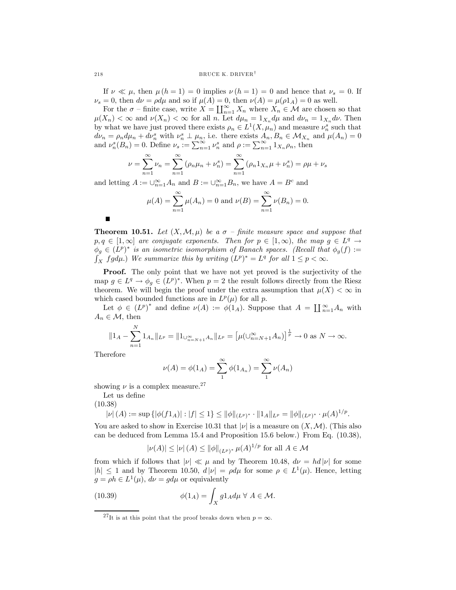If  $\nu \ll \mu$ , then  $\mu(h=1) = 0$  implies  $\nu(h=1) = 0$  and hence that  $\nu_s = 0$ . If  $\nu_s = 0$ , then  $d\nu = \rho d\mu$  and so if  $\mu(A) = 0$ , then  $\nu(A) = \mu(\rho 1_A) = 0$  as well.

For the  $\sigma$  – finite case, write  $X = \coprod_{n=1}^{\infty} X_n$  where  $X_n \in \mathcal{M}$  are chosen so that  $\mu(X_n) < \infty$  and  $\nu(X_n) < \infty$  for all n. Let  $d\mu_n = 1_{X_n} d\mu$  and  $d\nu_n = 1_{X_n} d\nu$ . Then by what we have just proved there exists  $\rho_n \in L^1(X, \mu_n)$  and measure  $\nu_n^s$  such that  $d\nu_n = \rho_n d\mu_n + d\nu_n^s$  with  $\nu_n^s \perp \mu_n$ , i.e. there exists  $A_n, B_n \in \mathcal{M}_{X_n}$  and  $\mu(A_n) = 0$ and  $\nu_n^s(B_n) = 0$ . Define  $\nu_s := \sum_{n=1}^{\infty} \nu_n^s$  and  $\rho := \sum_{n=1}^{\infty} 1_{X_n} \rho_n$ , then

$$
\nu = \sum_{n=1}^{\infty} \nu_n = \sum_{n=1}^{\infty} (\rho_n \mu_n + \nu_n^s) = \sum_{n=1}^{\infty} (\rho_n 1_{X_n} \mu + \nu_n^s) = \rho \mu + \nu_s
$$

and letting  $A := \bigcup_{n=1}^{\infty} A_n$  and  $B := \bigcup_{n=1}^{\infty} B_n$ , we have  $A = B^c$  and

$$
\mu(A) = \sum_{n=1}^{\infty} \mu(A_n) = 0
$$
 and  $\nu(B) = \sum_{n=1}^{\infty} \nu(B_n) = 0$ .

**Theorem 10.51.** Let  $(X, \mathcal{M}, \mu)$  be a  $\sigma$  – finite measure space and suppose that  $p, q \in [1,\infty]$  are conjugate exponents. Then for  $p \in [1,\infty)$ , the map  $g \in L^q \to$  $\phi_g \in (L^p)^*$  is an isometric isomorphism of Banach spaces. (Recall that  $\phi_g(f) :=$  $\int_X fg d\mu$ .) We summarize this by writing  $(L^p)^* = L^q$  for all  $1 \leq p < \infty$ .

Proof. The only point that we have not yet proved is the surjectivity of the map  $g \in L^q \to \phi_q \in (L^p)^*$ . When  $p = 2$  the result follows directly from the Riesz theorem. We will begin the proof under the extra assumption that  $\mu(X) < \infty$  in which cased bounded functions are in  $L^p(\mu)$  for all p.

Let  $\phi \in (L^p)^*$  and define  $\nu(A) := \phi(1_A)$ . Suppose that  $A = \prod_{n=1}^{\infty} A_n$  with  $A_n \in \mathcal{M}$ , then

$$
||1_A - \sum_{n=1}^N 1_{A_n}||_{L^p} = ||1_{\bigcup_{n=N+1}^\infty A_n}||_{L^p} = \left[\mu(\bigcup_{n=N+1}^\infty A_n\big)\right]^{\frac{1}{p}} \to 0 \text{ as } N \to \infty.
$$

Therefore

 $\blacksquare$ 

$$
\nu(A) = \phi(1_A) = \sum_{1}^{\infty} \phi(1_{A_n}) = \sum_{1}^{\infty} \nu(A_n)
$$

showing  $\nu$  is a complex measure.<sup>27</sup>

Let us define

(10.38)

$$
|\nu|(A) := \sup \{ |\phi(f1_A)| : |f| \le 1 \} \le ||\phi||_{(L^p)^*} \cdot ||1_A||_{L^p} = ||\phi||_{(L^p)^*} \cdot \mu(A)^{1/p}.
$$

You are asked to show in Exercise 10.31 that  $|\nu|$  is a measure on  $(X,\mathcal{M})$ . (This also can be deduced from Lemma 15.4 and Proposition 15.6 below.) From Eq. (10.38),

$$
|\nu(A)| \leq |\nu| (A) \leq ||\phi||_{(L^p)^*} \mu(A)^{1/p}
$$
 for all  $A \in \mathcal{M}$ 

from which if follows that  $|\nu| \ll \mu$  and by Theorem 10.48,  $d\nu = hd|\nu|$  for some  $|h| \leq 1$  and by Theorem 10.50,  $d|\nu| = \rho d\mu$  for some  $\rho \in L^1(\mu)$ . Hence, letting  $g = \rho h \in L^1(\mu)$ ,  $d\nu = g d\mu$  or equivalently

(10.39) 
$$
\phi(1_A) = \int_X g1_A d\mu \ \forall \ A \in \mathcal{M}.
$$

<sup>&</sup>lt;sup>27</sup>It is at this point that the proof breaks down when  $p = \infty$ .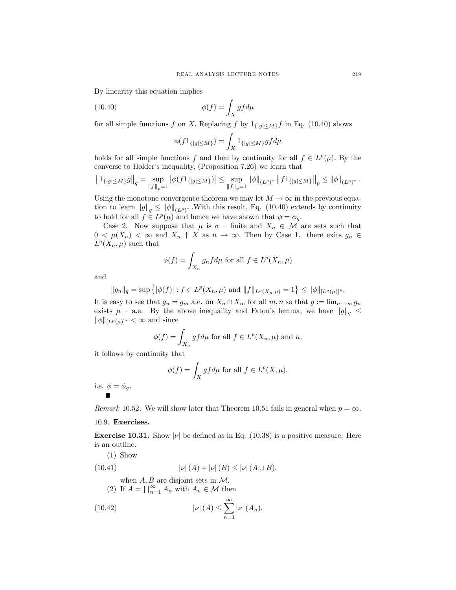By linearity this equation implies

(10.40) 
$$
\phi(f) = \int_X g f d\mu
$$

for all simple functions f on X. Replacing f by  $1_{\{|g| \le M\}}$  in Eq. (10.40) shows

$$
\phi(f 1_{\{|g| \le M\}}) = \int_X 1_{\{|g| \le M\}} g f d\mu
$$

holds for all simple functions f and then by continuity for all  $f \in L^p(\mu)$ . By the converse to Holder's inequality, (Proposition 7.26) we learn that

$$
\left\|1_{\{|g| \le M\}} g\right\|_q = \sup_{\|f\|_p = 1} \left| \phi(f 1_{\{|g| \le M\}}) \right| \le \sup_{\|f\|_p = 1} \|\phi\|_{(L^p)^*} \left\|f 1_{\{|g| \le M\}} \right\|_p \le \|\phi\|_{(L^p)^*}.
$$

Using the monotone convergence theorem we may let  $M \to \infty$  in the previous equation to learn  $||g||_q \le ||\phi||_{(L^p)^*}$ . With this result, Eq. (10.40) extends by continuity to hold for all  $f \in L^p(\mu)$  and hence we have shown that  $\phi = \phi_g$ .

Case 2. Now suppose that  $\mu$  is  $\sigma$  – finite and  $X_n \in \mathcal{M}$  are sets such that  $0 < \mu(X_n) < \infty$  and  $X_n \uparrow X$  as  $n \to \infty$ . Then by Case 1. there exits  $g_n \in$  $L^q(X_n,\mu)$  such that

$$
\phi(f) = \int_{X_n} g_n f d\mu \text{ for all } f \in L^p(X_n, \mu)
$$

and

$$
||g_n||_q = \sup \{ |\phi(f)| : f \in L^p(X_n, \mu) \text{ and } ||f||_{L^p(X_n, \mu)} = 1 \} \le ||\phi||_{[L^p(\mu)]^*}.
$$

It is easy to see that  $g_n = g_m$  a.e. on  $X_n \cap X_m$  for all  $m, n$  so that  $g := \lim_{n \to \infty} g_n$ exists  $\mu$  – a.e. By the above inequality and Fatou's lemma, we have  $||g||_q \leq$  $\|\phi\|_{[L^p(\mu)]^*} < \infty$  and since

$$
\phi(f) = \int_{X_n} gf d\mu \text{ for all } f \in L^p(X_n, \mu) \text{ and } n,
$$

it follows by continuity that

$$
\phi(f) = \int_X gf d\mu \text{ for all } f \in L^p(X, \mu),
$$

i.e.  $\phi = \phi_g$ .

Remark 10.52. We will show later that Theorem 10.51 fails in general when  $p = \infty$ .

## 10.9. Exercises.

**Exercise 10.31.** Show  $|\nu|$  be defined as in Eq. (10.38) is a positive measure. Here is an outline.

(1) Show  
\n(10.41) 
$$
|\nu|(A) + |\nu|(B) \leq |\nu|(A \cup B).
$$
\nwhen A, B are disjoint sets in M.  
\n(2) If  $A = \coprod_{n=1}^{\infty} A_n$  with  $A_n \in \mathcal{M}$  then  
\n(10.42) 
$$
|\nu|(A) \leq \sum_{n=1}^{\infty} |\nu|(A_n).
$$